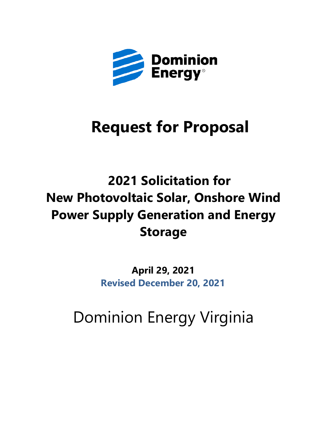

# **Request for Proposal**

# **2021 Solicitation for New Photovoltaic Solar, Onshore Wind Power Supply Generation and Energy Storage**

**April 29, 2021 Revised December 20, 2021**

Dominion Energy Virginia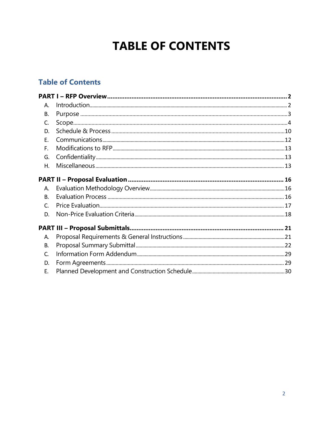# **TABLE OF CONTENTS**

# **Table of Contents**

<span id="page-1-0"></span>

| А.        |  |
|-----------|--|
| В.        |  |
| C.        |  |
| D.        |  |
| Ε.        |  |
| F.        |  |
| G.        |  |
| Η.        |  |
|           |  |
| A.        |  |
| <b>B.</b> |  |
| C.        |  |
| D.        |  |
|           |  |
| Α.        |  |
| В.        |  |
| C.        |  |
| D.        |  |
| Ε.        |  |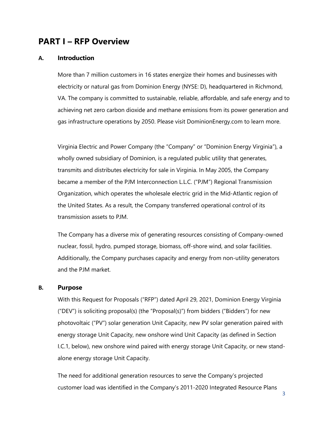# **PART I – RFP Overview**

#### <span id="page-2-0"></span>**A. Introduction**

More than 7 million customers in 16 states energize their homes and businesses with electricity or natural gas from Dominion Energy (NYSE: D), headquartered in Richmond, VA. The company is committed to sustainable, reliable, affordable, and safe energy and to achieving net zero carbon dioxide and methane emissions from its power generation and gas infrastructure operations by 2050. Please visit DominionEnergy.com to learn more.

Virginia Electric and Power Company (the "Company" or "Dominion Energy Virginia"), a wholly owned subsidiary of Dominion, is a regulated public utility that generates, transmits and distributes electricity for sale in Virginia. In May 2005, the Company became a member of the PJM Interconnection L.L.C. ("PJM") Regional Transmission Organization, which operates the wholesale electric grid in the Mid-Atlantic region of the United States. As a result, the Company transferred operational control of its transmission assets to PJM.

The Company has a diverse mix of generating resources consisting of Company-owned nuclear, fossil, hydro, pumped storage, biomass, off-shore wind, and solar facilities. Additionally, the Company purchases capacity and energy from non-utility generators and the PJM market.

## <span id="page-2-1"></span>**B. Purpose**

With this Request for Proposals ("RFP") dated April 29, 2021, Dominion Energy Virginia ("DEV") is soliciting proposal(s) (the "Proposal(s)") from bidders ("Bidders") for new photovoltaic ("PV") solar generation Unit Capacity, new PV solar generation paired with energy storage Unit Capacity, new onshore wind Unit Capacity (as defined in Section I.C.1, below), new onshore wind paired with energy storage Unit Capacity, or new standalone energy storage Unit Capacity.

The need for additional generation resources to serve the Company's projected customer load was identified in the Company's 2011-2020 Integrated Resource Plans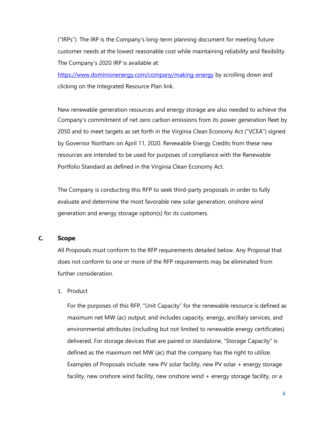("IRPs"). The IRP is the Company's long-term planning document for meeting future customer needs at the lowest reasonable cost while maintaining reliability and flexibility. The Company's 2020 IRP is available at:

<https://www.dominionenergy.com/company/making-energy> by scrolling down and clicking on the Integrated Resource Plan link.

New renewable generation resources and energy storage are also needed to achieve the Company's commitment of net zero carbon emissions from its power generation fleet by 2050 and to meet targets as set forth in the Virginia Clean Economy Act ("VCEA") signed by Governor Northam on April 11, 2020. Renewable Energy Credits from these new resources are intended to be used for purposes of compliance with the Renewable Portfolio Standard as defined in the Virginia Clean Economy Act.

The Company is conducting this RFP to seek third-party proposals in order to fully evaluate and determine the most favorable new solar generation, onshore wind generation and energy storage option(s) for its customers.

#### <span id="page-3-0"></span>**C. Scope**

All Proposals must conform to the RFP requirements detailed below. Any Proposal that does not conform to one or more of the RFP requirements may be eliminated from further consideration.

1. Product

For the purposes of this RFP, "Unit Capacity" for the renewable resource is defined as maximum net MW (ac) output, and includes capacity, energy, ancillary services, and environmental attributes (including but not limited to renewable energy certificates) delivered. For storage devices that are paired or standalone, "Storage Capacity" is defined as the maximum net MW (ac) that the company has the right to utilize. Examples of Proposals include: new PV solar facility, new PV solar + energy storage facility, new onshore wind facility, new onshore wind + energy storage facility, or a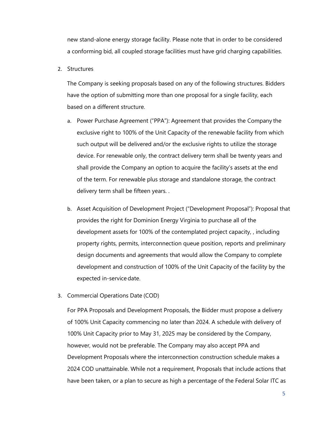new stand-alone energy storage facility. Please note that in order to be considered a conforming bid, all coupled storage facilities must have grid charging capabilities.

2. Structures

The Company is seeking proposals based on any of the following structures. Bidders have the option of submitting more than one proposal for a single facility, each based on a different structure.

- a. Power Purchase Agreement ("PPA"): Agreement that provides the Company the exclusive right to 100% of the Unit Capacity of the renewable facility from which such output will be delivered and/or the exclusive rights to utilize the storage device. For renewable only, the contract delivery term shall be twenty years and shall provide the Company an option to acquire the facility's assets at the end of the term. For renewable plus storage and standalone storage, the contract delivery term shall be fifteen years. .
- b. Asset Acquisition of Development Project ("Development Proposal"): Proposal that provides the right for Dominion Energy Virginia to purchase all of the development assets for 100% of the contemplated project capacity, , including property rights, permits, interconnection queue position, reports and preliminary design documents and agreements that would allow the Company to complete development and construction of 100% of the Unit Capacity of the facility by the expected in-service date.
- 3. Commercial Operations Date (COD)

For PPA Proposals and Development Proposals, the Bidder must propose a delivery of 100% Unit Capacity commencing no later than 2024. A schedule with delivery of 100% Unit Capacity prior to May 31, 2025 may be considered by the Company, however, would not be preferable. The Company may also accept PPA and Development Proposals where the interconnection construction schedule makes a 2024 COD unattainable. While not a requirement, Proposals that include actions that have been taken, or a plan to secure as high a percentage of the Federal Solar ITC as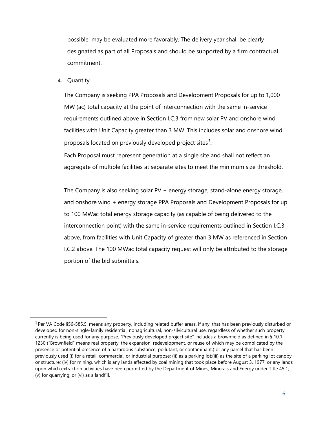possible, may be evaluated more favorably. The delivery year shall be clearly designated as part of all Proposals and should be supported by a firm contractual commitment.

#### 4. Quantity

The Company is seeking PPA Proposals and Development Proposals for up to 1,000 MW (ac) total capacity at the point of interconnection with the same in-service requirements outlined above in Section I.C.3 from new solar PV and onshore wind facilities with Unit Capacity greater than 3 MW. This includes solar and onshore wind proposals located on previously developed project sites*1.* 

Each Proposal must represent generation at a single site and shall not reflect an aggregate of multiple facilities at separate sites to meet the minimum size threshold.

The Company is also seeking solar PV + energy storage, stand-alone energy storage, and onshore wind + energy storage PPA Proposals and Development Proposals for up to 100 MWac total energy storage capacity (as capable of being delivered to the interconnection point) with the same in-service requirements outlined in Section I.C.3 above, from facilities with Unit Capacity of greater than 3 MW as referenced in Section I.C.2 above. The 100 MWac total capacity request will only be attributed to the storage portion of the bid submittals.

 $1$ Per VA Code §56-585.5, means any property, including related buffer areas, if any, that has been previously disturbed or developed for non-single-family residential, nonagricultural, non-silvicultural use, regardless of whether such property currently is being used for any purpose. "Previously developed project site" includes a brownfield as defined in § [10.1-](http://law.lis.virginia.gov/vacode/10.1-1230) [1230 \(](http://law.lis.virginia.gov/vacode/10.1-1230)"Brownfield" means real property; the expansion, redevelopment, or reuse of which may be complicated by the presence or potential presence of a hazardous substance, pollutant, or contaminant.) or any parcel that has been previously used (i) for a retail, commercial, or industrial purpose; (ii) as a parking lot;(iii) as the site of a parking lot canopy or structure; (iv) for mining, which is any lands affected by coal mining that took place before August 3, 1977, or any lands upon which extraction activities have been permitted by the Department of Mines, Minerals and Energy under Title 45.1; (v) for quarrying; or (vi) as a landfill.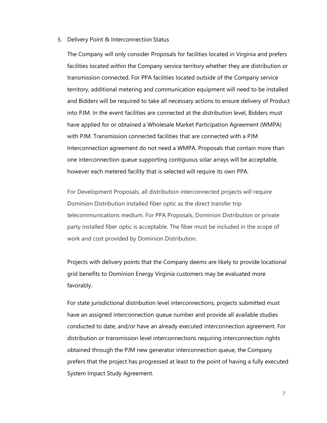#### 5. Delivery Point & Interconnection Status

The Company will only consider Proposals for facilities located in Virginia and prefers facilities located within the Company service territory whether they are distribution or transmission connected. For PPA facilities located outside of the Company service territory, additional metering and communication equipment will need to be installed and Bidders will be required to take all necessary actions to ensure delivery of Product into PJM. In the event facilities are connected at the distribution level, Bidders must have applied for or obtained a Wholesale Market Participation Agreement (WMPA) with PJM. Transmission connected facilities that are connected with a PJM Interconnection agreement do not need a WMPA. Proposals that contain more than one interconnection queue supporting contiguous solar arrays will be acceptable, however each metered facility that is selected will require its own PPA.

For Development Proposals, all distribution interconnected projects will require Dominion Distribution installed fiber optic as the direct transfer trip telecommunications medium. For PPA Proposals, Dominion Distribution or private party installed fiber optic is acceptable. The fiber must be included in the scope of work and cost provided by Dominion Distribution.

Projects with delivery points that the Company deems are likely to provide locational grid benefits to Dominion Energy Virginia customers may be evaluated more favorably.

For state jurisdictional distribution level interconnections, projects submitted must have an assigned interconnection queue number and provide all available studies conducted to date, and/or have an already executed interconnection agreement. For distribution or transmission level interconnections requiring interconnection rights obtained through the PJM new generator interconnection queue, the Company prefers that the project has progressed at least to the point of having a fully executed System Impact Study Agreement.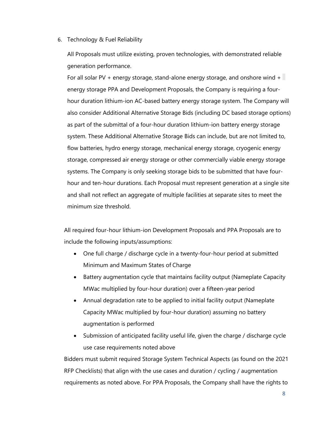#### 6. Technology & Fuel Reliability

All Proposals must utilize existing, proven technologies, with demonstrated reliable generation performance.

For all solar PV + energy storage, stand-alone energy storage, and onshore wind + energy storage PPA and Development Proposals, the Company is requiring a fourhour duration lithium-ion AC-based battery energy storage system. The Company will also consider Additional Alternative Storage Bids (including DC based storage options) as part of the submittal of a four-hour duration lithium-ion battery energy storage system. These Additional Alternative Storage Bids can include, but are not limited to, flow batteries, hydro energy storage, mechanical energy storage, cryogenic energy storage, compressed air energy storage or other commercially viable energy storage systems. The Company is only seeking storage bids to be submitted that have fourhour and ten-hour durations. Each Proposal must represent generation at a single site and shall not reflect an aggregate of multiple facilities at separate sites to meet the minimum size threshold.

All required four-hour lithium-ion Development Proposals and PPA Proposals are to include the following inputs/assumptions:

- One full charge / discharge cycle in a twenty-four-hour period at submitted Minimum and Maximum States of Charge
- Battery augmentation cycle that maintains facility output (Nameplate Capacity MWac multiplied by four-hour duration) over a fifteen-year period
- Annual degradation rate to be applied to initial facility output (Nameplate Capacity MWac multiplied by four-hour duration) assuming no battery augmentation is performed
- Submission of anticipated facility useful life, given the charge / discharge cycle use case requirements noted above

Bidders must submit required Storage System Technical Aspects (as found on the 2021 RFP Checklists) that align with the use cases and duration / cycling / augmentation requirements as noted above. For PPA Proposals, the Company shall have the rights to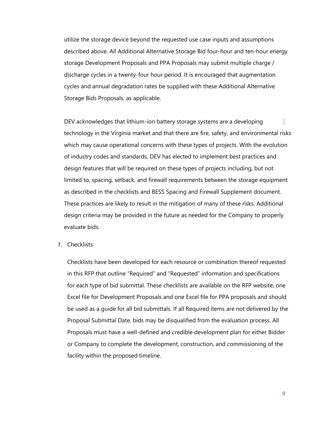utilize the storage device beyond the requested use case inputs and assumptions described above. All Additional Alternative Storage Bid four-hour and ten-hour energy storage Development Proposals and PPA Proposals may submit multiple charge / discharge cycles in a twenty-four hour period. It is encouraged that augmentation cycles and annual degradation rates be supplied with these Additional Alternative Storage Bids Proposals, as applicable.

DEV acknowledges that lithium-ion battery storage systems are a developing technology in the Virginia market and that there are fire, safety, and environmental risks which may cause operational concerns with these types of projects. With the evolution of industry codes and standards, DEV has elected to implement best practices and design features that will be required on these types of projects including, but not limited to, spacing, setback, and firewall requirements between the storage equipment as described in the checklists and BESS Spacing and Firewall Supplement document. These practices are likely to result in the mitigation of many of these risks. Additional design criteria may be provided in the future as needed for the Company to properly evaluate bids.

7. Checklists

Checklists have been developed for each resource or combination thereof requested in this RFP that outline "Required" and "Requested" information and specifications for each type of bid submittal. These checklists are available on the RFP website, one Excel file for Development Proposals and one Excel file for PPA proposals and should be used as a guide for all bid submittals. If all Required items are not delivered by the Proposal Submittal Date, bids may be disqualified from the evaluation process. All Proposals must have a well-defined and credible development plan for either Bidder or Company to complete the development, construction, and commissioning of the facility within the proposed timeline.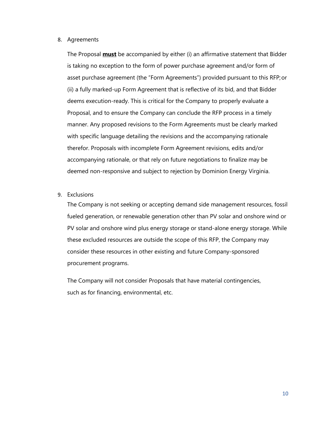#### 8. Agreements

The Proposal **must** be accompanied by either (i) an affirmative statement that Bidder is taking no exception to the form of power purchase agreement and/or form of asset purchase agreement (the "Form Agreements") provided pursuant to this RFP;or (ii) a fully marked-up Form Agreement that is reflective of its bid, and that Bidder deems execution-ready. This is critical for the Company to properly evaluate a Proposal, and to ensure the Company can conclude the RFP process in a timely manner. Any proposed revisions to the Form Agreements must be clearly marked with specific language detailing the revisions and the accompanying rationale therefor. Proposals with incomplete Form Agreement revisions, edits and/or accompanying rationale, or that rely on future negotiations to finalize may be deemed non-responsive and subject to rejection by Dominion Energy Virginia.

9. Exclusions

The Company is not seeking or accepting demand side management resources, fossil fueled generation, or renewable generation other than PV solar and onshore wind or PV solar and onshore wind plus energy storage or stand-alone energy storage. While these excluded resources are outside the scope of this RFP, the Company may consider these resources in other existing and future Company-sponsored procurement programs.

<span id="page-9-0"></span>The Company will not consider Proposals that have material contingencies, such as for financing, environmental, etc.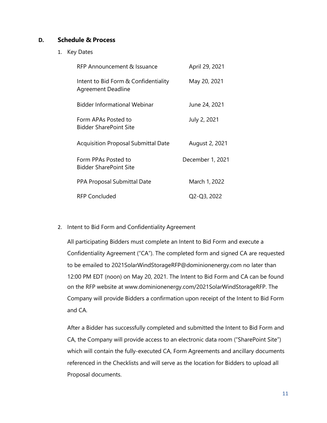# **D. Schedule & Process**

1. Key Dates

| RFP Announcement & Issuance                                       | April 29, 2021   |
|-------------------------------------------------------------------|------------------|
| Intent to Bid Form & Confidentiality<br><b>Agreement Deadline</b> | May 20, 2021     |
| Bidder Informational Webinar                                      | June 24, 2021    |
| Form APAs Posted to<br><b>Bidder SharePoint Site</b>              | July 2, 2021     |
| <b>Acquisition Proposal Submittal Date</b>                        | August 2, 2021   |
| Form PPAs Posted to<br><b>Bidder SharePoint Site</b>              | December 1, 2021 |
| <b>PPA Proposal Submittal Date</b>                                | March 1, 2022    |
| <b>RFP Concluded</b>                                              | Q2-Q3, 2022      |

## 2. Intent to Bid Form and Confidentiality Agreement

All participating Bidders must complete an Intent to Bid Form and execute a Confidentiality Agreement ("CA"). The completed form and signed CA are requested to be emailed to [2021SolarWindStorageRFP@dominionenergy.com n](mailto:2021SolarWindStorageRFP@dominionenergy.com)o later than 12:00 PM EDT (noon) on May 20, 2021. The Intent to Bid Form and CA can be found on the RFP website at [www.dominionenergy.com/2021SolarWindStorageRFP. T](http://www.dominionenergy.com/2021SolarWindStorageRFP)he Company will provide Bidders a confirmation upon receipt of the Intent to Bid Form and CA.

After a Bidder has successfully completed and submitted the Intent to Bid Form and CA, the Company will provide access to an electronic data room ("SharePoint Site") which will contain the fully-executed CA, Form Agreements and ancillary documents referenced in the Checklists and will serve as the location for Bidders to upload all Proposal documents.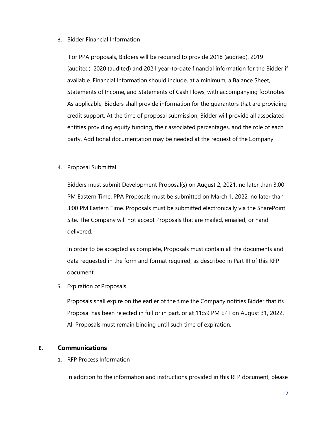#### 3. Bidder Financial Information

For PPA proposals, Bidders will be required to provide 2018 (audited), 2019 (audited), 2020 (audited) and 2021 year-to-date financial information for the Bidder if available. Financial Information should include, at a minimum, a Balance Sheet, Statements of Income, and Statements of Cash Flows, with accompanying footnotes. As applicable, Bidders shall provide information for the guarantors that are providing credit support. At the time of proposal submission, Bidder will provide all associated entities providing equity funding, their associated percentages, and the role of each party. Additional documentation may be needed at the request of the Company.

## 4. Proposal Submittal

Bidders must submit Development Proposal(s) on August 2, 2021, no later than 3:00 PM Eastern Time. PPA Proposals must be submitted on March 1, 2022, no later than 3:00 PM Eastern Time. Proposals must be submitted electronically via the SharePoint Site. The Company will not accept Proposals that are mailed, emailed, or hand delivered.

In order to be accepted as complete, Proposals must contain all the documents and data requested in the form and format required, as described in Part III of this RFP document.

5. Expiration of Proposals

Proposals shall expire on the earlier of the time the Company notifies Bidder that its Proposal has been rejected in full or in part, or at 11:59 PM EPT on August 31, 2022. All Proposals must remain binding until such time of expiration.

## <span id="page-11-0"></span>**E. Communications**

1. RFP Process Information

In addition to the information and instructions provided in this RFP document, please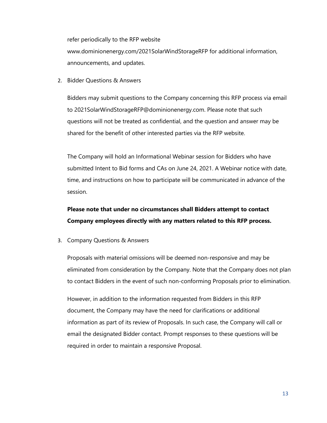refer periodically to the RFP websit[e](http://www.dominionenergy.com/2021SolarWindStorageRFP) [www.dominionenergy.com/2021SolarWindStorageRFP f](http://www.dominionenergy.com/2021SolarWindStorageRFP)or additional information, announcements, and updates.

2. Bidder Questions & Answers

Bidders may submit questions to the Company concerning this RFP process via email to [2021SolarWindStorageRFP@dominionenergy.com. P](mailto:2021SolarWindStorageRFP@dominionenergy.com)lease note that such questions will not be treated as confidential, and the question and answer may be shared for the benefit of other interested parties via the RFP website.

The Company will hold an Informational Webinar session for Bidders who have submitted Intent to Bid forms and CAs on June 24, 2021. A Webinar notice with date, time, and instructions on how to participate will be communicated in advance of the session.

# **Please note that under no circumstances shall Bidders attempt to contact Company employees directly with any matters related to this RFP process.**

3. Company Questions & Answers

Proposals with material omissions will be deemed non-responsive and may be eliminated from consideration by the Company. Note that the Company does not plan to contact Bidders in the event of such non-conforming Proposals prior to elimination.

However, in addition to the information requested from Bidders in this RFP document, the Company may have the need for clarifications or additional information as part of its review of Proposals. In such case, the Company will call or email the designated Bidder contact. Prompt responses to these questions will be required in order to maintain a responsive Proposal.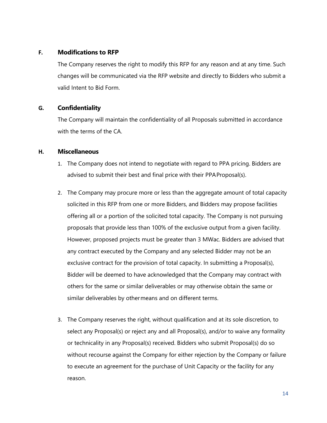# <span id="page-13-0"></span>**F. Modifications to RFP**

The Company reserves the right to modify this RFP for any reason and at any time. Such changes will be communicated via the RFP website and directly to Bidders who submit a valid Intent to Bid Form.

# <span id="page-13-1"></span>**G. Confidentiality**

The Company will maintain the confidentiality of all Proposals submitted in accordance with the terms of the CA.

## <span id="page-13-2"></span>**H. Miscellaneous**

- 1. The Company does not intend to negotiate with regard to PPA pricing. Bidders are advised to submit their best and final price with their PPAProposal(s).
- 2. The Company may procure more or less than the aggregate amount of total capacity solicited in this RFP from one or more Bidders, and Bidders may propose facilities offering all or a portion of the solicited total capacity. The Company is not pursuing proposals that provide less than 100% of the exclusive output from a given facility. However, proposed projects must be greater than 3 MWac. Bidders are advised that any contract executed by the Company and any selected Bidder may not be an exclusive contract for the provision of total capacity. In submitting a Proposal(s), Bidder will be deemed to have acknowledged that the Company may contract with others for the same or similar deliverables or may otherwise obtain the same or similar deliverables by othermeans and on different terms.
- 3. The Company reserves the right, without qualification and at its sole discretion, to select any Proposal(s) or reject any and all Proposal(s), and/or to waive any formality or technicality in any Proposal(s) received. Bidders who submit Proposal(s) do so without recourse against the Company for either rejection by the Company or failure to execute an agreement for the purchase of Unit Capacity or the facility for any reason.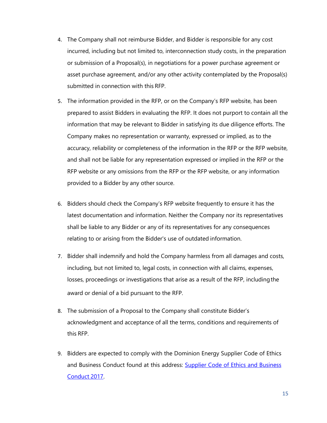- 4. The Company shall not reimburse Bidder, and Bidder is responsible for any cost incurred, including but not limited to, interconnection study costs, in the preparation or submission of a Proposal(s), in negotiations for a power purchase agreement or asset purchase agreement, and/or any other activity contemplated by the Proposal(s) submitted in connection with this RFP.
- 5. The information provided in the RFP, or on the Company's RFP website, has been prepared to assist Bidders in evaluating the RFP. It does not purport to contain all the information that may be relevant to Bidder in satisfying its due diligence efforts. The Company makes no representation or warranty, expressed or implied, as to the accuracy, reliability or completeness of the information in the RFP or the RFP website, and shall not be liable for any representation expressed or implied in the RFP or the RFP website or any omissions from the RFP or the RFP website, or any information provided to a Bidder by any other source.
- 6. Bidders should check the Company's RFP website frequently to ensure it has the latest documentation and information. Neither the Company nor its representatives shall be liable to any Bidder or any of its representatives for any consequences relating to or arising from the Bidder's use of outdated information.
- 7. Bidder shall indemnify and hold the Company harmless from all damages and costs, including, but not limited to, legal costs, in connection with all claims, expenses, losses, proceedings or investigations that arise as a result of the RFP, includingthe award or denial of a bid pursuant to the RFP.
- 8. The submission of a Proposal to the Company shall constitute Bidder's acknowledgment and acceptance of all the terms, conditions and requirements of this RFP.
- 9. Bidders are expected to comply with the Dominion Energy Supplier Code of Ethics and Business Conduct found at this address: [Supplier Code of Ethics and Business](https://cdn-dominionenergy-prd-001.azureedge.net/-/media/pdfs/global/supplier/suppliercodeofethics.pdf?la=en&rev=4e111895cebf4c83bc116bf0deb76afe&hash=8B4C2EA26CFC25040BF4DD0F18ACA414) [Conduct](https://cdn-dominionenergy-prd-001.azureedge.net/-/media/pdfs/global/supplier/suppliercodeofethics.pdf?la=en&rev=4e111895cebf4c83bc116bf0deb76afe&hash=8B4C2EA26CFC25040BF4DD0F18ACA414) 2017.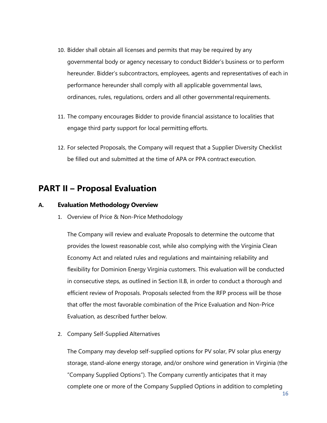- 10. Bidder shall obtain all licenses and permits that may be required by any governmental body or agency necessary to conduct Bidder's business or to perform hereunder. Bidder's subcontractors, employees, agents and representatives of each in performance hereunder shall comply with all applicable governmental laws, ordinances, rules, regulations, orders and all other governmental requirements.
- 11. The company encourages Bidder to provide financial assistance to localities that engage third party support for local permitting efforts.
- 12. For selected Proposals, the Company will request that a Supplier Diversity Checklist be filled out and submitted at the time of APA or PPA contract execution.

# <span id="page-15-0"></span>**PART II – Proposal Evaluation**

## **A. Evaluation Methodology Overview**

1. Overview of Price & Non-Price Methodology

The Company will review and evaluate Proposals to determine the outcome that provides the lowest reasonable cost, while also complying with the Virginia Clean Economy Act and related rules and regulations and maintaining reliability and flexibility for Dominion Energy Virginia customers. This evaluation will be conducted in consecutive steps, as outlined in Section II.B, in order to conduct a thorough and efficient review of Proposals. Proposals selected from the RFP process will be those that offer the most favorable combination of the Price Evaluation and Non-Price Evaluation, as described further below.

2. Company Self-Supplied Alternatives

The Company may develop self-supplied options for PV solar, PV solar plus energy storage, stand-alone energy storage, and/or onshore wind generation in Virginia (the "Company Supplied Options"). The Company currently anticipates that it may complete one or more of the Company Supplied Options in addition to completing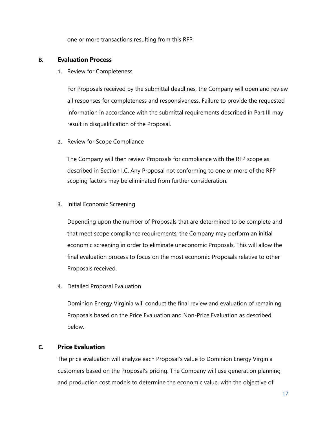one or more transactions resulting from this RFP.

## <span id="page-16-0"></span>**B. Evaluation Process**

1. Review for Completeness

For Proposals received by the submittal deadlines, the Company will open and review all responses for completeness and responsiveness. Failure to provide the requested information in accordance with the submittal requirements described in Part III may result in disqualification of the Proposal.

2. Review for Scope Compliance

The Company will then review Proposals for compliance with the RFP scope as described in Section I.C. Any Proposal not conforming to one or more of the RFP scoping factors may be eliminated from further consideration.

3. Initial Economic Screening

Depending upon the number of Proposals that are determined to be complete and that meet scope compliance requirements, the Company may perform an initial economic screening in order to eliminate uneconomic Proposals. This will allow the final evaluation process to focus on the most economic Proposals relative to other Proposals received.

4. Detailed Proposal Evaluation

Dominion Energy Virginia will conduct the final review and evaluation of remaining Proposals based on the Price Evaluation and Non-Price Evaluation as described below.

# <span id="page-16-1"></span>**C. Price Evaluation**

The price evaluation will analyze each Proposal's value to Dominion Energy Virginia customers based on the Proposal's pricing. The Company will use generation planning and production cost models to determine the economic value, with the objective of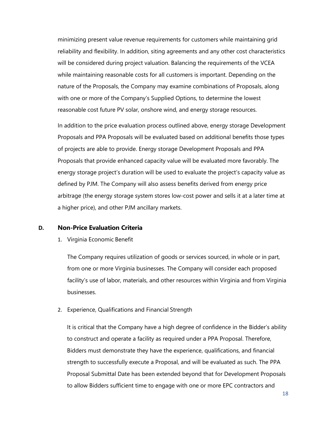minimizing present value revenue requirements for customers while maintaining grid reliability and flexibility. In addition, siting agreements and any other cost characteristics will be considered during project valuation. Balancing the requirements of the VCEA while maintaining reasonable costs for all customers is important. Depending on the nature of the Proposals, the Company may examine combinations of Proposals, along with one or more of the Company's Supplied Options, to determine the lowest reasonable cost future PV solar, onshore wind, and energy storage resources.

In addition to the price evaluation process outlined above, energy storage Development Proposals and PPA Proposals will be evaluated based on additional benefits those types of projects are able to provide. Energy storage Development Proposals and PPA Proposals that provide enhanced capacity value will be evaluated more favorably. The energy storage project's duration will be used to evaluate the project's capacity value as defined by PJM. The Company will also assess benefits derived from energy price arbitrage (the energy storage system stores low-cost power and sells it at a later time at a higher price), and other PJM ancillary markets.

#### <span id="page-17-0"></span>**D. Non-Price Evaluation Criteria**

1. Virginia Economic Benefit

The Company requires utilization of goods or services sourced, in whole or in part, from one or more Virginia businesses. The Company will consider each proposed facility's use of labor, materials, and other resources within Virginia and from Virginia businesses.

#### 2. Experience, Qualifications and Financial Strength

It is critical that the Company have a high degree of confidence in the Bidder's ability to construct and operate a facility as required under a PPA Proposal. Therefore, Bidders must demonstrate they have the experience, qualifications, and financial strength to successfully execute a Proposal, and will be evaluated as such. The PPA Proposal Submittal Date has been extended beyond that for Development Proposals to allow Bidders sufficient time to engage with one or more EPC contractors and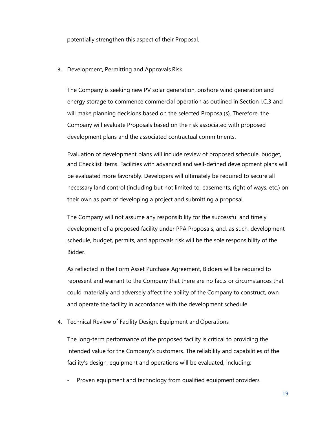potentially strengthen this aspect of their Proposal.

3. Development, Permitting and Approvals Risk

The Company is seeking new PV solar generation, onshore wind generation and energy storage to commence commercial operation as outlined in Section I.C.3 and will make planning decisions based on the selected Proposal(s). Therefore, the Company will evaluate Proposals based on the risk associated with proposed development plans and the associated contractual commitments.

Evaluation of development plans will include review of proposed schedule, budget, and Checklist items. Facilities with advanced and well-defined development plans will be evaluated more favorably. Developers will ultimately be required to secure all necessary land control (including but not limited to, easements, right of ways, etc.) on their own as part of developing a project and submitting a proposal.

The Company will not assume any responsibility for the successful and timely development of a proposed facility under PPA Proposals, and, as such, development schedule, budget, permits, and approvals risk will be the sole responsibility of the Bidder.

As reflected in the Form Asset Purchase Agreement, Bidders will be required to represent and warrant to the Company that there are no facts or circumstances that could materially and adversely affect the ability of the Company to construct, own and operate the facility in accordance with the development schedule.

4. Technical Review of Facility Design, Equipment and Operations

The long-term performance of the proposed facility is critical to providing the intended value for the Company's customers. The reliability and capabilities of the facility's design, equipment and operations will be evaluated, including:

Proven equipment and technology from qualified equipment providers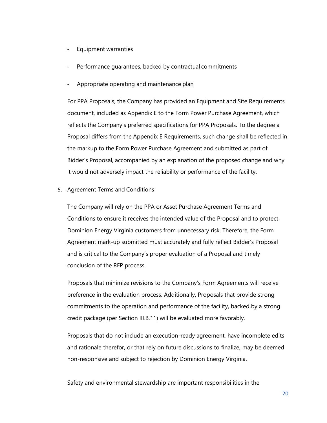- Equipment warranties
- Performance guarantees, backed by contractual commitments
- Appropriate operating and maintenance plan

For PPA Proposals, the Company has provided an Equipment and Site Requirements document, included as Appendix E to the Form Power Purchase Agreement, which reflects the Company's preferred specifications for PPA Proposals. To the degree a Proposal differs from the Appendix E Requirements, such change shall be reflected in the markup to the Form Power Purchase Agreement and submitted as part of Bidder's Proposal, accompanied by an explanation of the proposed change and why it would not adversely impact the reliability or performance of the facility.

5. Agreement Terms and Conditions

The Company will rely on the PPA or Asset Purchase Agreement Terms and Conditions to ensure it receives the intended value of the Proposal and to protect Dominion Energy Virginia customers from unnecessary risk. Therefore, the Form Agreement mark-up submitted must accurately and fully reflect Bidder's Proposal and is critical to the Company's proper evaluation of a Proposal and timely conclusion of the RFP process.

Proposals that minimize revisions to the Company's Form Agreements will receive preference in the evaluation process. Additionally, Proposals that provide strong commitments to the operation and performance of the facility, backed by a strong credit package (per Section III.B.11) will be evaluated more favorably.

Proposals that do not include an execution-ready agreement, have incomplete edits and rationale therefor, or that rely on future discussions to finalize, may be deemed non-responsive and subject to rejection by Dominion Energy Virginia.

Safety and environmental stewardship are important responsibilities in the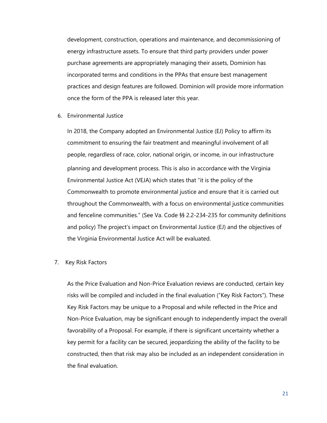development, construction, operations and maintenance, and decommissioning of energy infrastructure assets. To ensure that third party providers under power purchase agreements are appropriately managing their assets, Dominion has incorporated terms and conditions in the PPAs that ensure best management practices and design features are followed. Dominion will provide more information once the form of the PPA is released later this year.

6. Environmental Justice

In 2018, the Company adopted an Environmental Justice (EJ) Policy to affirm its commitment to ensuring the fair treatment and meaningful involvement of all people, regardless of race, color, national origin, or income, in our infrastructure planning and development process. This is also in accordance with the Virginia Environmental Justice Act (VEJA) which states that "it is the policy of the Commonwealth to promote environmental justice and ensure that it is carried out throughout the Commonwealth, with a focus on environmental justice communities and fenceline communities." (See Va. Code §§ 2.2-234-235 for community definitions and policy) The project's impact on Environmental Justice (EJ) and the objectives of the Virginia Environmental Justice Act will be evaluated.

#### 7. Key Risk Factors

<span id="page-20-0"></span>As the Price Evaluation and Non-Price Evaluation reviews are conducted, certain key risks will be compiled and included in the final evaluation ("Key Risk Factors"). These Key Risk Factors may be unique to a Proposal and while reflected in the Price and Non-Price Evaluation, may be significant enough to independently impact the overall favorability of a Proposal. For example, if there is significant uncertainty whether a key permit for a facility can be secured, jeopardizing the ability of the facility to be constructed, then that risk may also be included as an independent consideration in the final evaluation.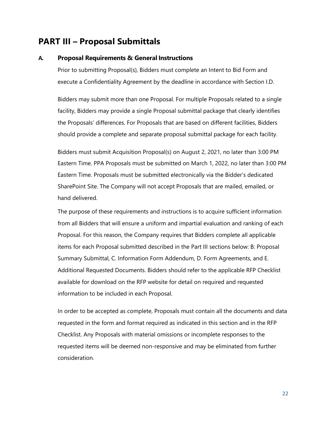# <span id="page-21-0"></span>**PART III – Proposal Submittals**

#### **A. Proposal Requirements & General Instructions**

Prior to submitting Proposal(s), Bidders must complete an Intent to Bid Form and execute a Confidentiality Agreement by the deadline in accordance with Section I.D.

Bidders may submit more than one Proposal. For multiple Proposals related to a single facility, Bidders may provide a single Proposal submittal package that clearly identifies the Proposals' differences. For Proposals that are based on different facilities, Bidders should provide a complete and separate proposal submittal package for each facility.

Bidders must submit Acquisition Proposal(s) on August 2, 2021, no later than 3:00 PM Eastern Time. PPA Proposals must be submitted on March 1, 2022, no later than 3:00 PM Eastern Time. Proposals must be submitted electronically via the Bidder's dedicated SharePoint Site. The Company will not accept Proposals that are mailed, emailed, or hand delivered.

The purpose of these requirements and instructions is to acquire sufficient information from all Bidders that will ensure a uniform and impartial evaluation and ranking of each Proposal. For this reason, the Company requires that Bidders complete all applicable items for each Proposal submitted described in the Part III sections below: B: Proposal Summary Submittal, C. Information Form Addendum, D. Form Agreements, and E. Additional Requested Documents. Bidders should refer to the applicable RFP Checklist available for download on the RFP website for detail on required and requested information to be included in each Proposal.

<span id="page-21-1"></span>In order to be accepted as complete, Proposals must contain all the documents and data requested in the form and format required as indicated in this section and in the RFP Checklist. Any Proposals with material omissions or incomplete responses to the requested items will be deemed non-responsive and may be eliminated from further consideration.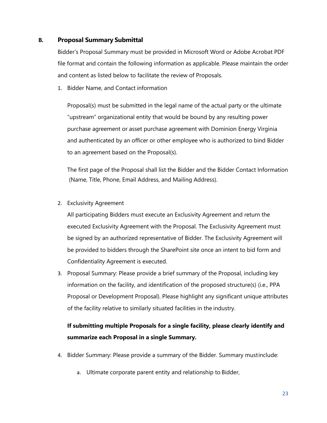# **B. Proposal Summary Submittal**

Bidder's Proposal Summary must be provided in Microsoft Word or Adobe Acrobat PDF file format and contain the following information as applicable. Please maintain the order and content as listed below to facilitate the review of Proposals.

1. Bidder Name, and Contact information

Proposal(s) must be submitted in the legal name of the actual party or the ultimate "upstream" organizational entity that would be bound by any resulting power purchase agreement or asset purchase agreement with Dominion Energy Virginia and authenticated by an officer or other employee who is authorized to bind Bidder to an agreement based on the Proposal(s).

The first page of the Proposal shall list the Bidder and the Bidder Contact Information (Name, Title, Phone, Email Address, and Mailing Address).

2. Exclusivity Agreement

All participating Bidders must execute an Exclusivity Agreement and return the executed Exclusivity Agreement with the Proposal. The Exclusivity Agreement must be signed by an authorized representative of Bidder. The Exclusivity Agreement will be provided to bidders through the SharePoint site once an intent to bid form and Confidentiality Agreement is executed.

3. Proposal Summary: Please provide a brief summary of the Proposal, including key information on the facility, and identification of the proposed structure(s) (i.e., PPA Proposal or Development Proposal). Please highlight any significant unique attributes of the facility relative to similarly situated facilities in the industry.

# **If submitting multiple Proposals for a single facility, please clearly identify and summarize each Proposal in a single Summary.**

- 4. Bidder Summary: Please provide a summary of the Bidder. Summary mustinclude:
	- a. Ultimate corporate parent entity and relationship to Bidder,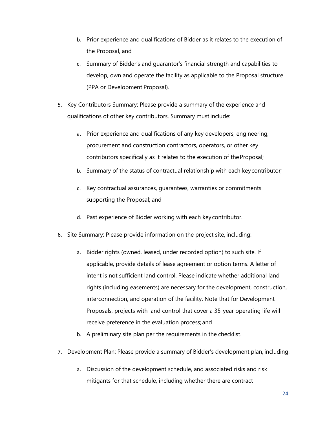- b. Prior experience and qualifications of Bidder as it relates to the execution of the Proposal, and
- c. Summary of Bidder's and guarantor's financial strength and capabilities to develop, own and operate the facility as applicable to the Proposal structure (PPA or Development Proposal).
- 5. Key Contributors Summary: Please provide a summary of the experience and qualifications of other key contributors. Summary must include:
	- a. Prior experience and qualifications of any key developers, engineering, procurement and construction contractors, operators, or other key contributors specifically as it relates to the execution of theProposal;
	- b. Summary of the status of contractual relationship with each keycontributor;
	- c. Key contractual assurances, guarantees, warranties or commitments supporting the Proposal; and
	- d. Past experience of Bidder working with each key contributor.
- 6. Site Summary: Please provide information on the project site, including:
	- a. Bidder rights (owned, leased, under recorded option) to such site. If applicable, provide details of lease agreement or option terms. A letter of intent is not sufficient land control. Please indicate whether additional land rights (including easements) are necessary for the development, construction, interconnection, and operation of the facility. Note that for Development Proposals, projects with land control that cover a 35-year operating life will receive preference in the evaluation process; and
	- b. A preliminary site plan per the requirements in the checklist.
- 7. Development Plan: Please provide a summary of Bidder's development plan, including:
	- a. Discussion of the development schedule, and associated risks and risk mitigants for that schedule, including whether there are contract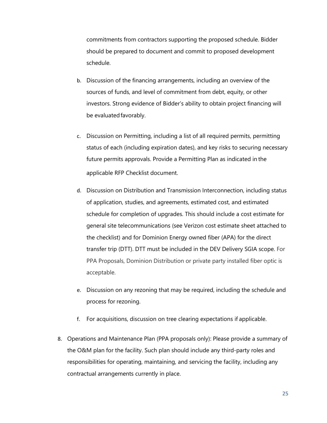commitments from contractors supporting the proposed schedule. Bidder should be prepared to document and commit to proposed development schedule.

- b. Discussion of the financing arrangements, including an overview of the sources of funds, and level of commitment from debt, equity, or other investors. Strong evidence of Bidder's ability to obtain project financing will be evaluated favorably.
- c. Discussion on Permitting, including a list of all required permits, permitting status of each (including expiration dates), and key risks to securing necessary future permits approvals. Provide a Permitting Plan as indicated in the applicable RFP Checklist document.
- d. Discussion on Distribution and Transmission Interconnection, including status of application, studies, and agreements, estimated cost, and estimated schedule for completion of upgrades. This should include a cost estimate for general site telecommunications (see Verizon cost estimate sheet attached to the checklist) and for Dominion Energy owned fiber (APA) for the direct transfer trip (DTT). DTT must be included in the DEV Delivery SGIA scope. For PPA Proposals, Dominion Distribution or private party installed fiber optic is acceptable.
- e. Discussion on any rezoning that may be required, including the schedule and process for rezoning.
- f. For acquisitions, discussion on tree clearing expectations if applicable.
- 8. Operations and Maintenance Plan (PPA proposals only): Please provide a summary of the O&M plan for the facility. Such plan should include any third-party roles and responsibilities for operating, maintaining, and servicing the facility, including any contractual arrangements currently in place.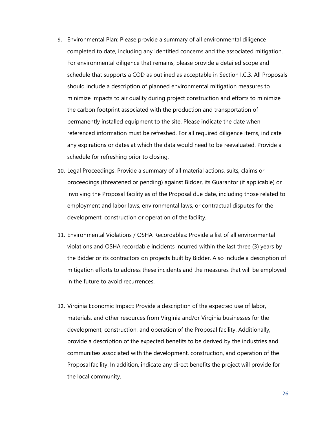- 9. Environmental Plan: Please provide a summary of all environmental diligence completed to date, including any identified concerns and the associated mitigation. For environmental diligence that remains, please provide a detailed scope and schedule that supports a COD as outlined as acceptable in Section I.C.3. All Proposals should include a description of planned environmental mitigation measures to minimize impacts to air quality during project construction and efforts to minimize the carbon footprint associated with the production and transportation of permanently installed equipment to the site. Please indicate the date when referenced information must be refreshed. For all required diligence items, indicate any expirations or dates at which the data would need to be reevaluated. Provide a schedule for refreshing prior to closing.
- 10. Legal Proceedings: Provide a summary of all material actions, suits, claims or proceedings (threatened or pending) against Bidder, its Guarantor (if applicable) or involving the Proposal facility as of the Proposal due date, including those related to employment and labor laws, environmental laws, or contractual disputes for the development, construction or operation of the facility.
- 11. Environmental Violations / OSHA Recordables: Provide a list of all environmental violations and OSHA recordable incidents incurred within the last three (3) years by the Bidder or its contractors on projects built by Bidder. Also include a description of mitigation efforts to address these incidents and the measures that will be employed in the future to avoid recurrences.
- 12. Virginia Economic Impact: Provide a description of the expected use of labor, materials, and other resources from Virginia and/or Virginia businesses for the development, construction, and operation of the Proposal facility. Additionally, provide a description of the expected benefits to be derived by the industries and communities associated with the development, construction, and operation of the Proposalfacility. In addition, indicate any direct benefits the project will provide for the local community.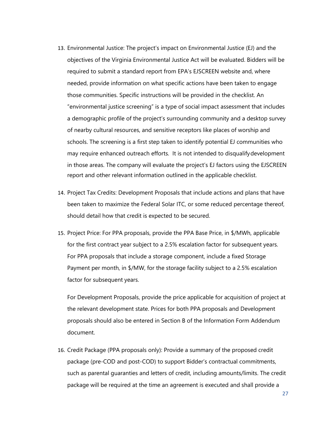- 13. Environmental Justice: The project's impact on Environmental Justice (EJ) and the objectives of the Virginia Environmental Justice Act will be evaluated. Bidders will be required to submit a standard report from EPA's EJSCREEN website and, where needed, provide information on what specific actions have been taken to engage those communities. Specific instructions will be provided in the checklist. An "environmental justice screening" is a type of social impact assessment that includes a demographic profile of the project's surrounding community and a desktop survey of nearby cultural resources, and sensitive receptors like places of worship and schools. The screening is a first step taken to identify potential EJ communities who may require enhanced outreach efforts. It is not intended to disqualifydevelopment in those areas. The company will evaluate the project's EJ factors using the EJSCREEN report and other relevant information outlined in the applicable checklist.
- 14. Project Tax Credits: Development Proposals that include actions and plans that have been taken to maximize the Federal Solar ITC, or some reduced percentage thereof, should detail how that credit is expected to be secured.
- 15. Project Price: For PPA proposals, provide the PPA Base Price, in \$/MWh, applicable for the first contract year subject to a 2.5% escalation factor for subsequent years. For PPA proposals that include a storage component, include a fixed Storage Payment per month, in \$/MW, for the storage facility subject to a 2.5% escalation factor for subsequent years.

For Development Proposals, provide the price applicable for acquisition of project at the relevant development state. Prices for both PPA proposals and Development proposals should also be entered in Section B of the Information Form Addendum document.

16. Credit Package (PPA proposals only): Provide a summary of the proposed credit package (pre-COD and post-COD) to support Bidder's contractual commitments, such as parental guaranties and letters of credit, including amounts/limits. The credit package will be required at the time an agreement is executed and shall provide a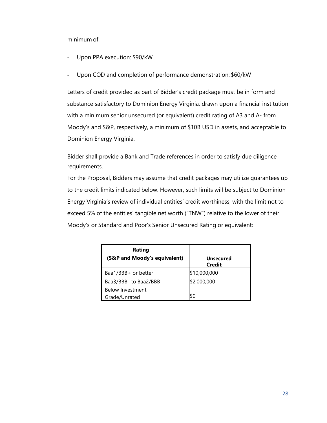minimum of:

- Upon PPA execution: \$90/kW
- Upon COD and completion of performance demonstration: \$60/kW

Letters of credit provided as part of Bidder's credit package must be in form and substance satisfactory to Dominion Energy Virginia, drawn upon a financial institution with a minimum senior unsecured (or equivalent) credit rating of A3 and A- from Moody's and S&P, respectively, a minimum of \$10B USD in assets, and acceptable to Dominion Energy Virginia.

Bidder shall provide a Bank and Trade references in order to satisfy due diligence requirements.

For the Proposal, Bidders may assume that credit packages may utilize guarantees up to the credit limits indicated below. However, such limits will be subject to Dominion Energy Virginia's review of individual entities' credit worthiness, with the limit not to exceed 5% of the entities' tangible net worth ("TNW") relative to the lower of their Moody's or Standard and Poor's Senior Unsecured Rating or equivalent:

| Rating<br>(S&P and Moody's equivalent)   | <b>Unsecured</b><br><b>Credit</b> |
|------------------------------------------|-----------------------------------|
| Baa1/BBB+ or better                      | \$10,000,000                      |
| Baa3/BBB- to Baa2/BBB                    | \$2,000,000                       |
| <b>Below Investment</b><br>Grade/Unrated | \$0                               |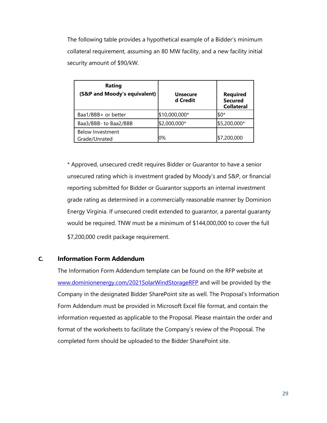The following table provides a hypothetical example of a Bidder's minimum collateral requirement, assuming an 80 MW facility, and a new facility initial security amount of \$90/kW.

| Rating<br>(S&P and Moody's equivalent)   | <b>Unsecure</b><br>d Credit | <b>Required</b><br><b>Secured</b><br><b>Collateral</b> |
|------------------------------------------|-----------------------------|--------------------------------------------------------|
| Baa1/BBB+ or better                      | \$10,000,000*               | $$0*$                                                  |
| Baa3/BBB- to Baa2/BBB                    | \$2,000,000*                | \$5,200,000*                                           |
| <b>Below Investment</b><br>Grade/Unrated | 0%                          | \$7,200,000                                            |

\* Approved, unsecured credit requires Bidder or Guarantor to have a senior unsecured rating which is investment graded by Moody's and S&P, or financial reporting submitted for Bidder or Guarantor supports an internal investment grade rating as determined in a commercially reasonable manner by Dominion Energy Virginia. If unsecured credit extended to guarantor, a parental guaranty would be required. TNW must be a minimum of \$144,000,000 to cover the full \$7,200,000 credit package requirement.

# <span id="page-28-0"></span>**C. Information Form Addendum**

<span id="page-28-1"></span>The Information Form Addendum template can be found on the RFP website at [www.dominionenergy.com/2021SolarWindStorageRFP](http://www.dominionenergy.com/2021SolarWindStorageRFP) and will be provided by the Company in the designated Bidder SharePoint site as well. The Proposal's Information Form Addendum must be provided in Microsoft Excel file format, and contain the information requested as applicable to the Proposal. Please maintain the order and format of the worksheets to facilitate the Company's review of the Proposal. The completed form should be uploaded to the Bidder SharePoint site.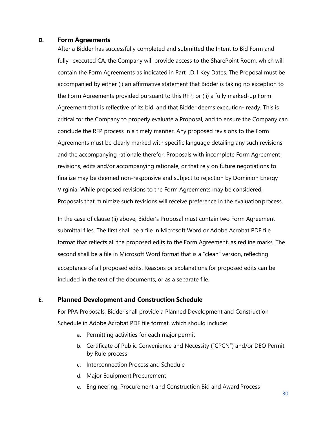#### **D. Form Agreements**

After a Bidder has successfully completed and submitted the Intent to Bid Form and fully- executed CA, the Company will provide access to the SharePoint Room, which will contain the Form Agreements as indicated in Part I.D.1 Key Dates. The Proposal must be accompanied by either (i) an affirmative statement that Bidder is taking no exception to the Form Agreements provided pursuant to this RFP; or (ii) a fully marked-up Form Agreement that is reflective of its bid, and that Bidder deems execution- ready. This is critical for the Company to properly evaluate a Proposal, and to ensure the Company can conclude the RFP process in a timely manner. Any proposed revisions to the Form Agreements must be clearly marked with specific language detailing any such revisions and the accompanying rationale therefor. Proposals with incomplete Form Agreement revisions, edits and/or accompanying rationale, or that rely on future negotiations to finalize may be deemed non-responsive and subject to rejection by Dominion Energy Virginia. While proposed revisions to the Form Agreements may be considered, Proposals that minimize such revisions will receive preference in the evaluation process.

In the case of clause (ii) above, Bidder's Proposal must contain two Form Agreement submittal files. The first shall be a file in Microsoft Word or Adobe Acrobat PDF file format that reflects all the proposed edits to the Form Agreement, as redline marks. The second shall be a file in Microsoft Word format that is a "clean" version, reflecting acceptance of all proposed edits. Reasons or explanations for proposed edits can be included in the text of the documents, or as a separate file.

## <span id="page-29-0"></span>**E. Planned Development and Construction Schedule**

For PPA Proposals, Bidder shall provide a Planned Development and Construction Schedule in Adobe Acrobat PDF file format, which should include:

- a. Permitting activities for each major permit
- b. Certificate of Public Convenience and Necessity ("CPCN") and/or DEQ Permit by Rule process
- c. Interconnection Process and Schedule
- d. Major Equipment Procurement
- e. Engineering, Procurement and Construction Bid and Award Process